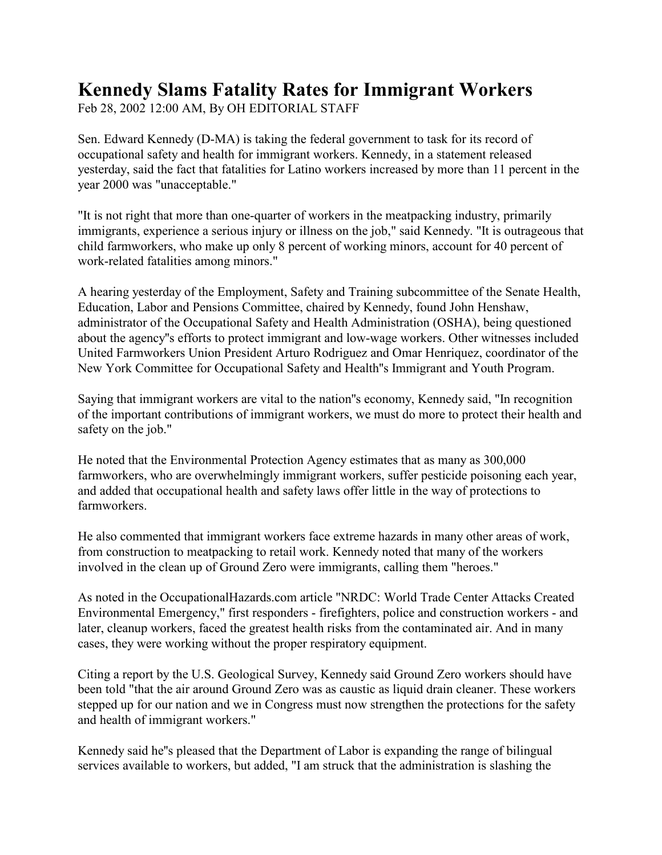## **Kennedy Slams Fatality Rates for Immigrant Workers**

Feb 28, 2002 12:00 AM, By OH EDITORIAL STAFF

Sen. Edward Kennedy (D-MA) is taking the federal government to task for its record of occupational safety and health for immigrant workers. Kennedy, in a statement released yesterday, said the fact that fatalities for Latino workers increased by more than 11 percent in the year 2000 was "unacceptable."

"It is not right that more than one-quarter of workers in the meatpacking industry, primarily immigrants, experience a serious injury or illness on the job," said Kennedy. "It is outrageous that child farmworkers, who make up only 8 percent of working minors, account for 40 percent of work-related fatalities among minors."

A hearing yesterday of the Employment, Safety and Training subcommittee of the Senate Health, Education, Labor and Pensions Committee, chaired by Kennedy, found John Henshaw, administrator of the Occupational Safety and Health Administration (OSHA), being questioned about the agency''s efforts to protect immigrant and low-wage workers. Other witnesses included United Farmworkers Union President Arturo Rodriguez and Omar Henriquez, coordinator of the New York Committee for Occupational Safety and Health''s Immigrant and Youth Program.

Saying that immigrant workers are vital to the nation''s economy, Kennedy said, "In recognition of the important contributions of immigrant workers, we must do more to protect their health and safety on the job."

He noted that the Environmental Protection Agency estimates that as many as 300,000 farmworkers, who are overwhelmingly immigrant workers, suffer pesticide poisoning each year, and added that occupational health and safety laws offer little in the way of protections to farmworkers.

He also commented that immigrant workers face extreme hazards in many other areas of work, from construction to meatpacking to retail work. Kennedy noted that many of the workers involved in the clean up of Ground Zero were immigrants, calling them "heroes."

As noted in the OccupationalHazards.com article "NRDC: World Trade Center Attacks Created Environmental Emergency," first responders - firefighters, police and construction workers - and later, cleanup workers, faced the greatest health risks from the contaminated air. And in many cases, they were working without the proper respiratory equipment.

Citing a report by the U.S. Geological Survey, Kennedy said Ground Zero workers should have been told "that the air around Ground Zero was as caustic as liquid drain cleaner. These workers stepped up for our nation and we in Congress must now strengthen the protections for the safety and health of immigrant workers."

Kennedy said he''s pleased that the Department of Labor is expanding the range of bilingual services available to workers, but added, "I am struck that the administration is slashing the